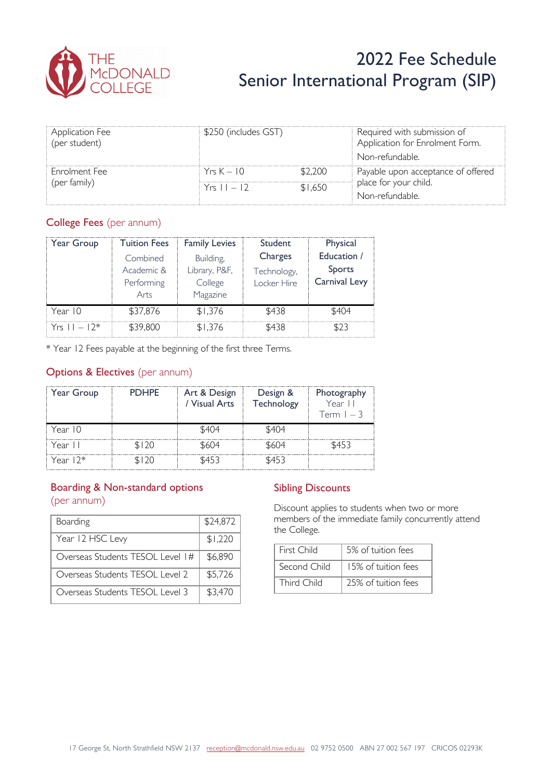

# 2022 Fee Schedule Senior International Program (SIP)

| <b>Application Fee</b><br>(per student) | \$250 (includes GST) |         | Required with submission of<br>Application for Enrolment Form. |
|-----------------------------------------|----------------------|---------|----------------------------------------------------------------|
|                                         |                      |         | Non-refundable.                                                |
| Enrolment Fee                           | $Y$ rs $K = 10$      | \$2.200 | Payable upon acceptance of offered                             |
| (per family)                            | $Yrs 11 - 12$        | \$1.650 | place for your child.                                          |
|                                         |                      |         | Non-refundable.                                                |

#### College Fees (per annum)

| Year Group       | <b>Tuition Fees</b>                          | <b>Family Levies</b>                              | Student                               | Physical                               |
|------------------|----------------------------------------------|---------------------------------------------------|---------------------------------------|----------------------------------------|
|                  | Combined<br>Academic &<br>Performing<br>Arts | Building,<br>Library, P&F,<br>College<br>Magazine | Charges<br>Technology,<br>Locker Hire | Education /<br>Sports<br>Carnival Levy |
| Year 10          | \$37,876                                     | \$1.376                                           | \$438                                 | \$404                                  |
| $Yrs = 11 - 12*$ | \$39,800                                     | \$1.376                                           | \$438                                 | 5. G                                   |

\* Year 12 Fees payable at the beginning of the first three Terms.

#### **Options & Electives** (per annum)

| Year Group | <b>PDHPF</b> | Art & Design<br>/ Visual Arts | Design &<br>Technology | Photography<br>Year II<br>$lcm l - 3$ |
|------------|--------------|-------------------------------|------------------------|---------------------------------------|
| Year 10    |              | \$404                         | \$404                  |                                       |
| Year II    | \$120        | \$604                         | \$604                  | \$453                                 |
| Year $12*$ | 120          | \$453                         | \$453                  |                                       |

## Boarding & Non-standard options

(per annum)

| Boarding                         | \$24,872 |
|----------------------------------|----------|
| Year 12 HSC Levy                 | \$1,220  |
| Overseas Students TESOL Level 1# | \$6,890  |
| Overseas Students TESOL Level 2  | \$5,726  |
| Overseas Students TESOL Level 3  | \$3,470  |

#### Sibling Discounts

Discount applies to students when two or more members of the immediate family concurrently attend the College.

| First Child  | 5% of tuition fees  |  |  |
|--------------|---------------------|--|--|
| Second Child | 15% of tuition fees |  |  |
| Third Child  | 25% of tuition fees |  |  |